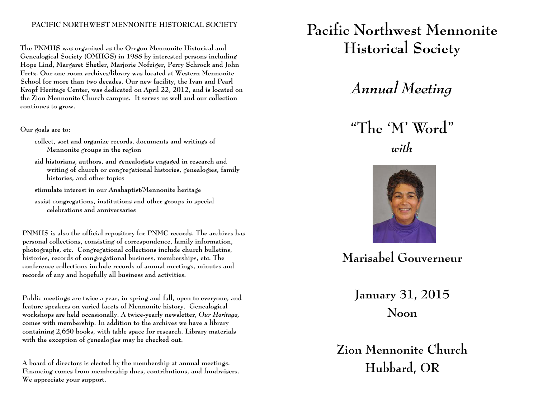### **PACIFIC NORTHWEST MENNONITE HISTORICAL SOCIETY**

**The PNMHS was organized as the Oregon Mennonite Historical and Genealogical Society (OMHGS) in 1988 by interested persons including Hope Lind, Margaret Shetler, Marjorie Nofziger, Perry Schrock and John Fretz. Our one room archives/library was located at Western Mennonite School for more than two decades. Our new facility, the Ivan and Pearl Kropf Heritage Center, was dedicated on April 22, 2012, and is located on the Zion Mennonite Church campus. It serves us well and our collection continues to grow.** 

#### **Our goals are to:**

**collect, sort and organize records, documents and writings of Mennonite groups in the region** 

**aid historians, authors, and genealogists engaged in research and writing of church or congregational histories, genealogies, family histories, and other topics** 

**stimulate interest in our Anabaptist/Mennonite heritage** 

**assist congregations, institutions and other groups in special celebrations and anniversaries** 

**PNMHS is also the official repository for PNMC records. The archives has personal collections, consisting of correspondence, family information, <sup>p</sup>hotographs, etc. Congregational collections include church bulletins, histories, records of congregational business, memberships, etc. The conference collections include records of annual meetings, minutes and records of any and hopefully all business and activities.** 

**Public meetings are twice a year, in spring and fall, open to everyone, and feature speakers on varied facets of Mennonite history. Genealogical workshops are held occasionally. A twice-yearly newsletter,** *Our Heritage,*  **comes with membership. In addition to the archives we have a library containing 2,650 books, with table space for research. Library materials with the exception of genealogies may be checked out.** 

**A board of directors is elected by the membership at annual meetings. Financing comes from membership dues, contributions, and fundraisers. We appreciate your support.** 

# **Pacific Northwest Mennonite Historical Society**

*Annual Meeting* 

**"The 'M' Word"**  *with* 



**Marisabel Gouverneur** 

**January 31, 2015 Noon** 

**Zion Mennonite Church Hubbard, OR**